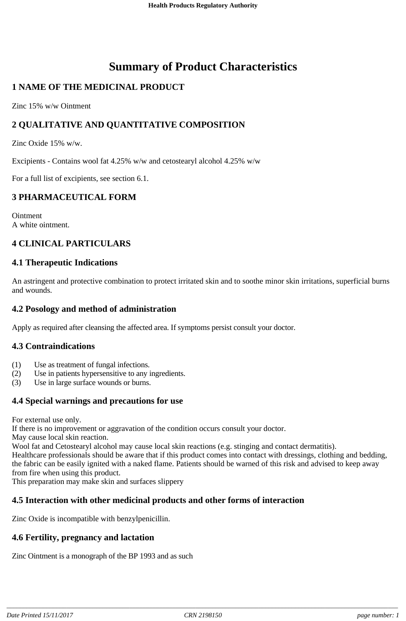# **Summary of Product Characteristics**

# **1 NAME OF THE MEDICINAL PRODUCT**

Zinc 15% w/w Ointment

# **2 QUALITATIVE AND QUANTITATIVE COMPOSITION**

Zinc Oxide 15% w/w.

Excipients - Contains wool fat 4.25% w/w and cetostearyl alcohol 4.25% w/w

For a full list of excipients, see section 6.1.

#### **3 PHARMACEUTICAL FORM**

Ointment A white ointment.

# **4 CLINICAL PARTICULARS**

#### **4.1 Therapeutic Indications**

An astringent and protective combination to protect irritated skin and to soothe minor skin irritations, superficial burns and wounds.

#### **4.2 Posology and method of administration**

Apply as required after cleansing the affected area. If symptoms persist consult your doctor.

#### **4.3 Contraindications**

- (1) Use as treatment of fungal infections.
- (2) Use in patients hypersensitive to any ingredients.
- (3) Use in large surface wounds or burns.

# **4.4 Special warnings and precautions for use**

For external use only.

If there is no improvement or aggravation of the condition occurs consult your doctor.

May cause local skin reaction.

Wool fat and Cetostearyl alcohol may cause local skin reactions (e.g. stinging and contact dermatitis).

Healthcare professionals should be aware that if this product comes into contact with dressings, clothing and bedding, the fabric can be easily ignited with a naked flame. Patients should be warned of this risk and advised to keep away from fire when using this product.

This preparation may make skin and surfaces slippery

# **4.5 Interaction with other medicinal products and other forms of interaction**

Zinc Oxide is incompatible with benzylpenicillin.

# **4.6 Fertility, pregnancy and lactation**

Zinc Ointment is a monograph of the BP 1993 and as such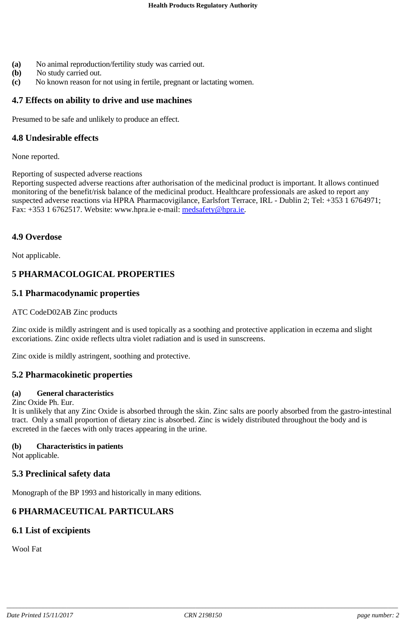- **(a)** No animal reproduction/fertility study was carried out.
- **(b)** No study carried out.
- **(c)** No known reason for not using in fertile, pregnant or lactating women.

# **4.7 Effects on ability to drive and use machines**

Presumed to be safe and unlikely to produce an effect.

# **4.8 Undesirable effects**

None reported.

Reporting of suspected adverse reactions

Reporting suspected adverse reactions after authorisation of the medicinal product is important. It allows continued monitoring of the benefit/risk balance of the medicinal product. Healthcare professionals are asked to report any suspected adverse reactions via HPRA Pharmacovigilance, Earlsfort Terrace, IRL - Dublin 2; Tel: +353 1 6764971; Fax: +353 1 6762517. Website: www.hpra.ie e-mail: medsafety@hpra.ie.

# **4.9 Overdose**

Not applicable.

# **5 PHARMACOLOGICAL PROPERTIES**

# **5.1 Pharmacodynamic properties**

#### ATC CodeD02AB Zinc products

Zinc oxide is mildly astringent and is used topically as a soothing and protective application in eczema and slight excoriations. Zinc oxide reflects ultra violet radiation and is used in sunscreens.

Zinc oxide is mildly astringent, soothing and protective.

#### **5.2 Pharmacokinetic properties**

#### **(a) General characteristics**

Zinc Oxide Ph. Eur.

It is unlikely that any Zinc Oxide is absorbed through the skin. Zinc salts are poorly absorbed from the gastro-intestinal tract. Only a small proportion of dietary zinc is absorbed. Zinc is widely distributed throughout the body and is excreted in the faeces with only traces appearing in the urine.

#### **(b) Characteristics in patients**

Not applicable.

# **5.3 Preclinical safety data**

Monograph of the BP 1993 and historically in many editions.

# **6 PHARMACEUTICAL PARTICULARS**

# **6.1 List of excipients**

Wool Fat